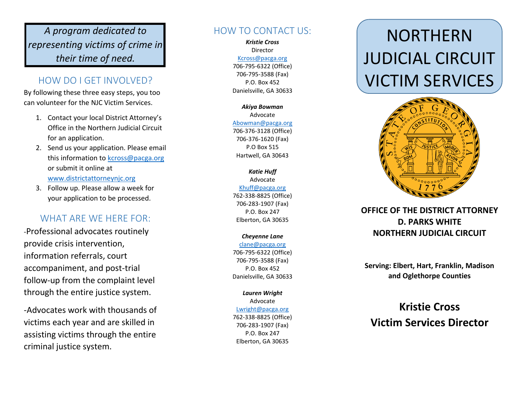### *A program dedicated to representing victims of crime in their time of need.*

#### HOW DO I GET INVOLVED?

By following these three easy steps, you too can volunteer for the NJC Victim Services.

- 1. Contact your local District Attorney's Office in the Northern Judicial Circuit for an application.
- 2. Send us your application. Please email this information to [kcross@pacga.org](mailto:kcross@pacga.org) or submit it online at <www.districtattorneynjc.org>
- 3. Follow up. Please allow a week for your application to be processed.

#### WHAT ARE WE HERE FOR:

-Professional advocates routinely provide crisis intervention, information referrals, court accompaniment, and post -trial follow -up from the complaint level through the entire justice system.

-Advocates work with thousands of victims each year and are skilled in assisting victims through the entire criminal justice system.

#### HOW TO CONTACT US:

*Kristie Cross* Director [Kcross@pacga.org](mailto:Kcross@pacga.org) 706 -795 -6322 (Office) 706 -795 -3588 (Fax) P.O. Box 452 Danielsville, GA 30633

*Akiya Bowman* Advocate [Abowman@pacga.org](mailto:Abowman@pacga.org) 706 -376 -3128 (Office) 706 -376 -1620 (Fax) P.O Box 515 Hartwell, GA 30643

*Katie Huff* Advocate [Khuff@pacga.org](mailto:Khuff@pacga.org) 762 -338 -8825 (Office) 706 -283 -1907 (Fax) P.O. Box 247 Elberton, GA 30635

#### *Cheyenne Lane*

[clane@pacga.org](mailto:clane@pacga.org) 706 -795 -6322 (Office) 706 -795 -3588 (Fax) P.O. Box 452 Danielsville, GA 30633

*Lauren Wright* Advocate [Lwright@pacga.org](mailto:Lwright@pacga.org) 762 -338 -8825 (Office) 706 -283 -1907 (Fax) P.O. Box 247 Elberton, GA 30635

# NORTHERN JUDICIAL CIRCUIT VICTIM SERVICES



#### **OFFICE OF THE DISTRICT ATTORNEY D. PARKS WHITE NORTHERN JUDICIAL CIRCUIT**

**Serving: Elbert, Hart, Franklin, Madison and Oglethorpe Counties**

## **Kristie Cross Victim Services Director**